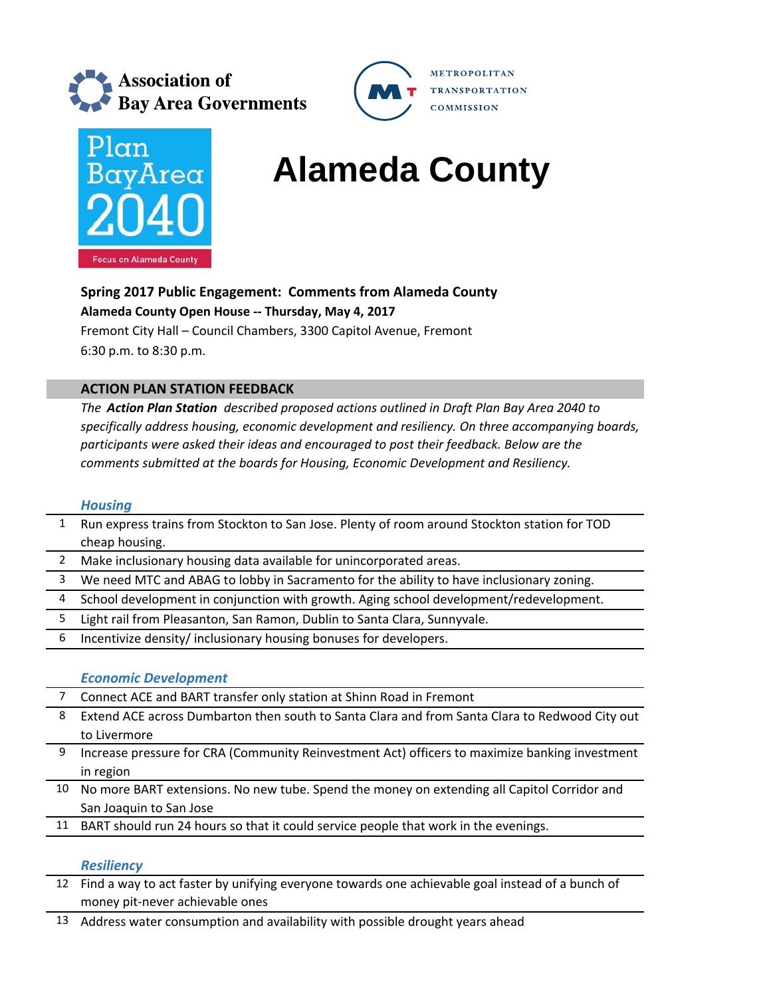



# **BayArea Alameda County**

**METROPOLITAN** 

**COMMISSION** 

**TRANSPORTATION** 

**Spring 2017 Public Engagement: Comments from Alameda County Alameda County Open House ‐‐ Thursday, May 4, 2017** Fremont City Hall – Council Chambers, 3300 Capitol Avenue, Fremont

6:30 p.m. to 8:30 p.m.

### **ACTION PLAN STATION FEEDBACK**

*The Action Plan Station described proposed actions outlined in Draft Plan Bay Area 2040 to specifically address housing, economic development and resiliency. On three accompanying boards, participants were asked their ideas and encouraged to post their feedback. Below are the comments submitted at the boards for Housing, Economic Development and Resiliency.*

#### *Housing*

- 1 Run express trains from Stockton to San Jose. Plenty of room around Stockton station for TOD cheap housing.
- 2 Make inclusionary housing data available for unincorporated areas.
- 3 We need MTC and ABAG to lobby in Sacramento for the ability to have inclusionary zoning.
- 4 School development in conjunction with growth. Aging school development/redevelopment.
- 5 Light rail from Pleasanton, San Ramon, Dublin to Santa Clara, Sunnyvale.
- 6 Incentivize density/ inclusionary housing bonuses for developers.

## *Economic Development*

- 7 Connect ACE and BART transfer only station at Shinn Road in Fremont
- 8 Extend ACE across Dumbarton then south to Santa Clara and from Santa Clara to Redwood City out to Livermore
- 9 Increase pressure for CRA (Community Reinvestment Act) officers to maximize banking investment in region
- 10 No more BART extensions. No new tube. Spend the money on extending all Capitol Corridor and San Joaquin to San Jose
- 11 BART should run 24 hours so that it could service people that work in the evenings.

#### *Resiliency*

- 12 Find a way to act faster by unifying everyone towards one achievable goal instead of a bunch of money pit‐never achievable ones
- 13 Address water consumption and availability with possible drought years ahead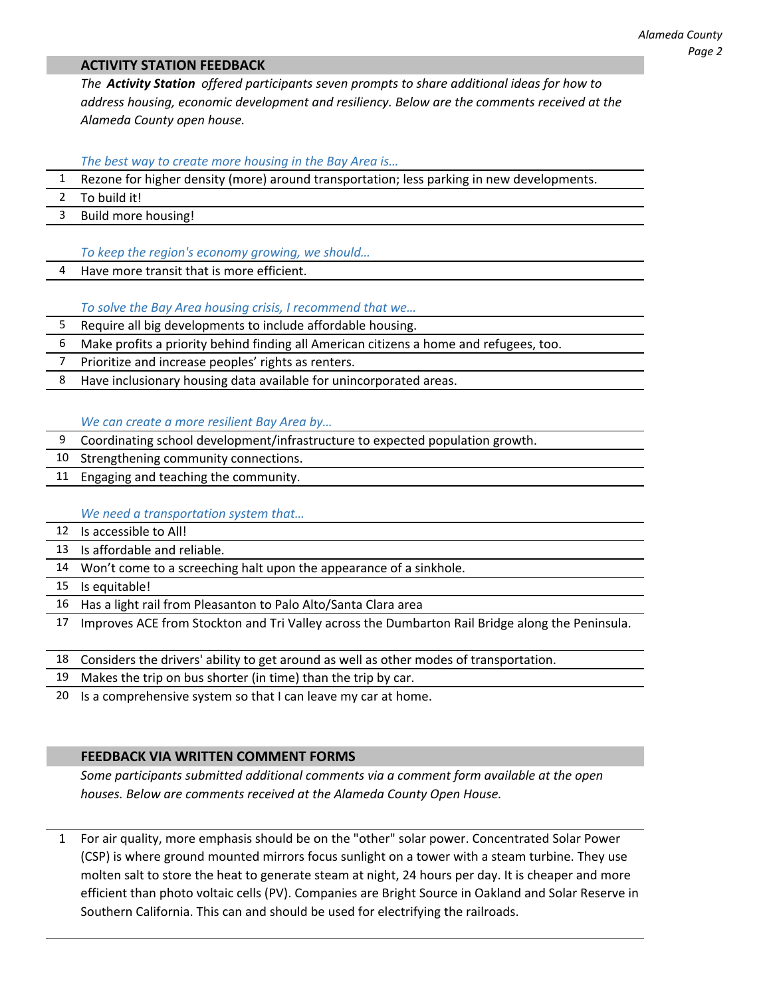#### **ACTIVITY STATION FEEDBACK**

*The Activity Station offered participants seven prompts to share additional ideas for how to address housing, economic development and resiliency. Below are the comments received at the Alameda County open house.*

*The best way to create more housing in the Bay Area is…*

- 1 Rezone for higher density (more) around transportation; less parking in new developments.
- 2 To build it!
- 3 Build more housing!

*To keep the region's economy growing, we should…*

Have more transit that is more efficient.

*To solve the Bay Area housing crisis, I recommend that we…*

5 Require all big developments to include affordable housing.

6 Make profits a priority behind finding all American citizens a home and refugees, too.

7 Prioritize and increase peoples' rights as renters.

8 Have inclusionary housing data available for unincorporated areas.

*We can create a more resilient Bay Area by…*

- 9 Coordinating school development/infrastructure to expected population growth.
- 10 Strengthening community connections.
- 11 Engaging and teaching the community.

#### *We need a transportation system that…*

- 12 Is accessible to All!
- 13 Is affordable and reliable.
- 14 Won't come to a screeching halt upon the appearance of a sinkhole.
- 15 Is equitable!
- 16 Has a light rail from Pleasanton to Palo Alto/Santa Clara area
- 17 Improves ACE from Stockton and Tri Valley across the Dumbarton Rail Bridge along the Peninsula.
- 18 Considers the drivers' ability to get around as well as other modes of transportation.
- 19 Makes the trip on bus shorter (in time) than the trip by car.
- 20 Is a comprehensive system so that I can leave my car at home.

#### **FEEDBACK VIA WRITTEN COMMENT FORMS**

*Some participants submitted additional comments via a comment form available at the open houses. Below are comments received at the Alameda County Open House.* 

1 For air quality, more emphasis should be on the "other" solar power. Concentrated Solar Power (CSP) is where ground mounted mirrors focus sunlight on a tower with a steam turbine. They use molten salt to store the heat to generate steam at night, 24 hours per day. It is cheaper and more efficient than photo voltaic cells (PV). Companies are Bright Source in Oakland and Solar Reserve in Southern California. This can and should be used for electrifying the railroads.